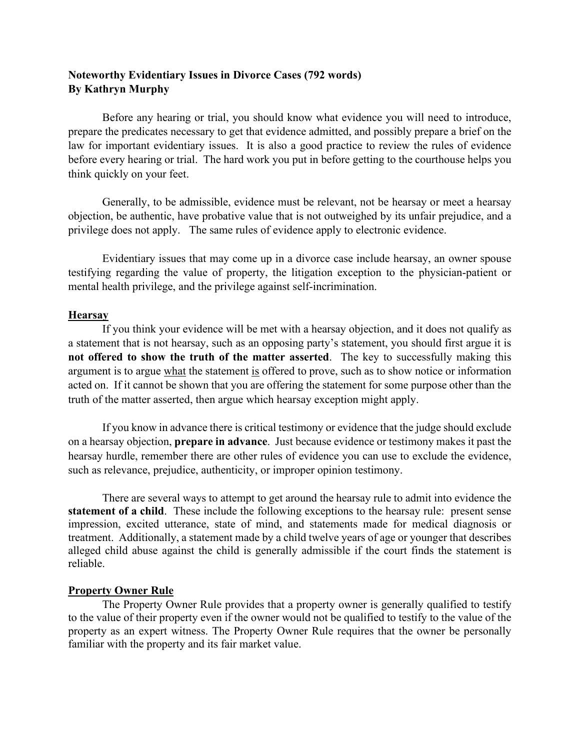# **Noteworthy Evidentiary Issues in Divorce Cases (792 words) By Kathryn Murphy**

Before any hearing or trial, you should know what evidence you will need to introduce, prepare the predicates necessary to get that evidence admitted, and possibly prepare a brief on the law for important evidentiary issues. It is also a good practice to review the rules of evidence before every hearing or trial. The hard work you put in before getting to the courthouse helps you think quickly on your feet.

Generally, to be admissible, evidence must be relevant, not be hearsay or meet a hearsay objection, be authentic, have probative value that is not outweighed by its unfair prejudice, and a privilege does not apply. The same rules of evidence apply to electronic evidence.

Evidentiary issues that may come up in a divorce case include hearsay, an owner spouse testifying regarding the value of property, the litigation exception to the physician-patient or mental health privilege, and the privilege against self-incrimination.

#### **Hearsay**

If you think your evidence will be met with a hearsay objection, and it does not qualify as a statement that is not hearsay, such as an opposing party's statement, you should first argue it is **not offered to show the truth of the matter asserted**. The key to successfully making this argument is to argue what the statement is offered to prove, such as to show notice or information acted on. If it cannot be shown that you are offering the statement for some purpose other than the truth of the matter asserted, then argue which hearsay exception might apply.

If you know in advance there is critical testimony or evidence that the judge should exclude on a hearsay objection, **prepare in advance**. Just because evidence or testimony makes it past the hearsay hurdle, remember there are other rules of evidence you can use to exclude the evidence, such as relevance, prejudice, authenticity, or improper opinion testimony.

There are several ways to attempt to get around the hearsay rule to admit into evidence the **statement of a child**. These include the following exceptions to the hearsay rule: present sense impression, excited utterance, state of mind, and statements made for medical diagnosis or treatment. Additionally, a statement made by a child twelve years of age or younger that describes alleged child abuse against the child is generally admissible if the court finds the statement is reliable.

## **Property Owner Rule**

The Property Owner Rule provides that a property owner is generally qualified to testify to the value of their property even if the owner would not be qualified to testify to the value of the property as an expert witness. The Property Owner Rule requires that the owner be personally familiar with the property and its fair market value.